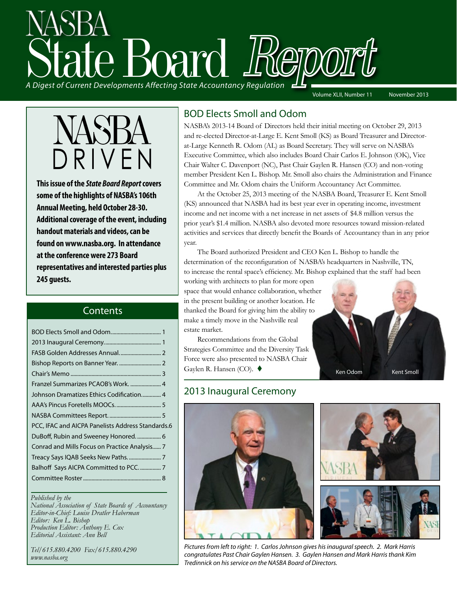# State Board Report *A Digest of Current Developments Affecting State Accountancy Regulation*

Volume XLII, Number 11 November 2013



**This issue of the** *State Board Report* **covers some of the highlights of NASBA's 106th Annual Meeting, held October 28-30. Additional coverage of the event, including handout materials and videos, can be found on www.nasba.org. In attendance at the conference were 273 Board representatives and interested parties plus 245 guests.**

#### **Contents**

| Franzel Summarizes PCAOB's Work.  4               |
|---------------------------------------------------|
| Johnson Dramatizes Ethics Codification 4          |
|                                                   |
|                                                   |
| PCC, IFAC and AICPA Panelists Address Standards.6 |
| DuBoff, Rubin and Sweeney Honored 6               |
| Conrad and Mills Focus on Practice Analysis 7     |
|                                                   |
| Balhoff Says AICPA Committed to PCC7              |
|                                                   |
|                                                   |

#### *Published by the*

*National Association of State Boards of Accountancy Editor-in-Chief: Louise Dratler Haberman Editor: Ken L. Bishop Production Editor: Anthony E. Cox Editorial Assistant: Ann Bell* 

*Tel/615.880.4200 Fax/615.880.4290 www.nasba.org*

#### BOD Elects Smoll and Odom

NASBA's 2013-14 Board of Directors held their initial meeting on October 29, 2013 and re-elected Director-at-Large E. Kent Smoll (KS) as Board Treasurer and Directorat-Large Kenneth R. Odom (AL) as Board Secretary. They will serve on NASBA's Executive Committee, which also includes Board Chair Carlos E. Johnson (OK), Vice Chair Walter C. Davenport (NC), Past Chair Gaylen R. Hansen (CO) and non-voting member President Ken L. Bishop. Mr. Smoll also chairs the Administration and Finance Committee and Mr. Odom chairs the Uniform Accountancy Act Committee.

At the October 25, 2013 meeting of the NASBA Board, Treasurer E. Kent Smoll (KS) announced that NASBA had its best year ever in operating income, investment income and net income with a net increase in net assets of \$4.8 million versus the prior year's \$1.4 million. NASBA also devoted more resources toward mission-related activities and services that directly benefit the Boards of Accountancy than in any prior year.

The Board authorized President and CEO Ken L. Bishop to handle the determination of the reconfiguration of NASBA's headquarters in Nashville, TN, to increase the rental space's efficiency. Mr. Bishop explained that the staff had been

working with architects to plan for more open space that would enhance collaboration, whether in the present building or another location. He thanked the Board for giving him the ability to make a timely move in the Nashville real estate market.

Recommendations from the Global Strategies Committee and the Diversity Task Force were also presented to NASBA Chair Gaylen R. Hansen (CO).  $\blacklozenge$ 



#### 2013 Inaugural Ceremony



*Pictures from left to right: 1. Carlos Johnson gives his inaugural speech. 2. Mark Harris congratulates Past Chair Gaylen Hansen. 3. Gaylen Hansen and Mark Harris thank Kim Tredinnick on his service on the NASBA Board of Directors.*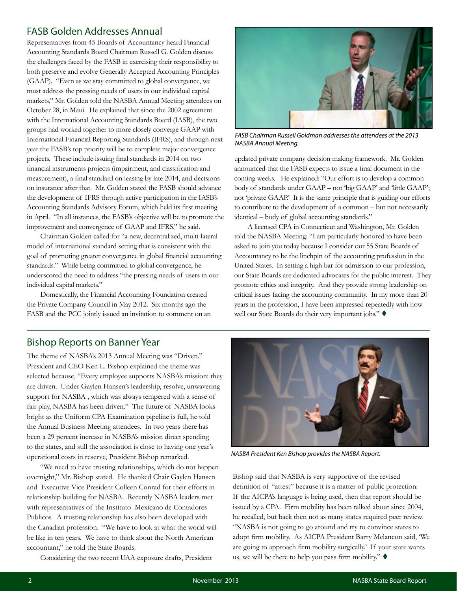#### <span id="page-1-0"></span>FASB Golden Addresses Annual

Representatives from 45 Boards of Accountancy heard Financial Accounting Standards Board Chairman Russell G. Golden discuss the challenges faced by the FASB in exercising their responsibility to both preserve and evolve Generally Accepted Accounting Principles (GAAP). "Even as we stay committed to global convergence, we must address the pressing needs of users in our individual capital markets," Mr. Golden told the NASBA Annual Meeting attendees on October 28, in Maui. He explained that since the 2002 agreement with the International Accounting Standards Board (IASB), the two groups had worked together to more closely converge GAAP with International Financial Reporting Standards (IFRS), and through next year the FASB's top priority will be to complete major convergence projects. These include issuing final standards in 2014 on two financial instruments projects (impairment, and classification and measurement), a final standard on leasing by late 2014, and decisions on insurance after that. Mr. Golden stated the FASB should advance the development of IFRS through active participation in the IASB's Accounting Standards Advisory Forum, which held its first meeting in April. "In all instances, the FASB's objective will be to promote the improvement and convergence of GAAP and IFRS," he said.

Chairman Golden called for "a new, decentralized, multi-lateral model of international standard setting that is consistent with the goal of promoting greater convergence in global financial accounting standards." While being committed to global convergence, he underscored the need to address "the pressing needs of users in our individual capital markets."

Domestically, the Financial Accounting Foundation created the Private Company Council in May 2012. Six months ago the FASB and the PCC jointly issued an invitation to comment on an

#### Bishop Reports on Banner Year

The theme of NASBA's 2013 Annual Meeting was "Driven." President and CEO Ken L. Bishop explained the theme was selected because, "Every employee supports NASBA's mission: they are driven. Under Gaylen Hansen's leadership, resolve, unwavering support for NASBA , which was always tempered with a sense of fair play, NASBA has been driven." The future of NASBA looks bright as the Uniform CPA Examination pipeline is full, he told the Annual Business Meeting attendees. In two years there has been a 29 percent increase in NASBA's mission direct spending to the states, and still the association is close to having one year's operational costs in reserve, President Bishop remarked.

"We need to have trusting relationships, which do not happen overnight," Mr. Bishop stated. He thanked Chair Gaylen Hansen and Executive Vice President Colleen Conrad for their efforts in relationship building for NASBA. Recently NASBA leaders met with representatives of the Instituto Mexicano de Contadores Publicos. A trusting relationship has also been developed with the Canadian profession. "We have to look at what the world will be like in ten years. We have to think about the North American accountant," he told the State Boards.

Considering the two recent UAA exposure drafts, President



*FASB Chairman Russell Goldman addresses the attendees at the 2013 NASBA Annual Meeting.* 

updated private company decision making framework. Mr. Golden announced that the FASB expects to issue a final document in the coming weeks. He explained: "Our effort is to develop a common body of standards under GAAP – not 'big GAAP' and 'little GAAP'; not 'private GAAP.' It is the same principle that is guiding our efforts to contribute to the development of a common – but not necessarily identical – body of global accounting standards."

A licensed CPA in Connecticut and Washington, Mr. Golden told the NASBA Meeting: "I am particularly honored to have been asked to join you today because I consider our 55 State Boards of Accountancy to be the linchpin of the accounting profession in the United States. In setting a high bar for admission to our profession, our State Boards are dedicated advocates for the public interest. They promote ethics and integrity. And they provide strong leadership on critical issues facing the accounting community. In my more than 20 years in the profession, I have been impressed repeatedly with how well our State Boards do their very important jobs."



*NASBA President Ken Bishop provides the NASBA Report.*

Bishop said that NASBA is very supportive of the revised definition of "attest" because it is a matter of public protection: If the AICPA's language is being used, then that report should be issued by a CPA. Firm mobility has been talked about since 2004, he recalled, but back then not as many states required peer review. "NASBA is not going to go around and try to convince states to adopt firm mobility. As AICPA President Barry Melancon said, 'We are going to approach firm mobility surgically.' If your state wants us, we will be there to help you pass firm mobility."  $\blacklozenge$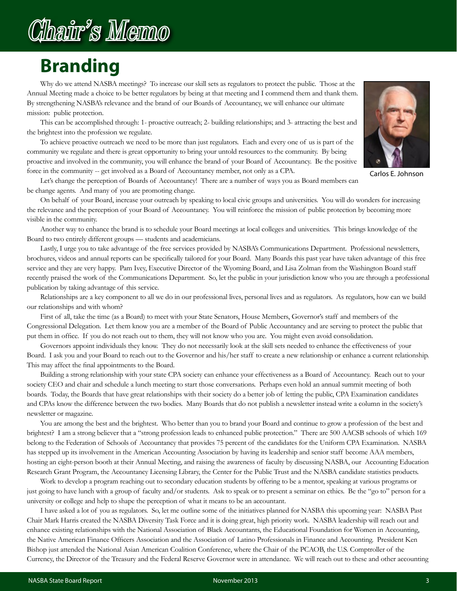# Chair's Memo

## **Branding**

Why do we attend NASBA meetings? To increase our skill sets as regulators to protect the public. Those at the Annual Meeting made a choice to be better regulators by being at that meeting and I commend them and thank them. By strengthening NASBA's relevance and the brand of our Boards of Accountancy, we will enhance our ultimate mission: public protection.

This can be accomplished through: 1- proactive outreach; 2- building relationships; and 3- attracting the best and the brightest into the profession we regulate.

To achieve proactive outreach we need to be more than just regulators. Each and every one of us is part of the community we regulate and there is great opportunity to bring your untold resources to the community. By being proactive and involved in the community, you will enhance the brand of your Board of Accountancy. Be the positive force in the community -- get involved as a Board of Accountancy member, not only as a CPA.



Carlos E. Johnson

Let's change the perception of Boards of Accountancy! There are a number of ways you as Board members can be change agents. And many of you are promoting change.

On behalf of your Board, increase your outreach by speaking to local civic groups and universities. You will do wonders for increasing the relevance and the perception of your Board of Accountancy. You will reinforce the mission of public protection by becoming more visible in the community.

Another way to enhance the brand is to schedule your Board meetings at local colleges and universities. This brings knowledge of the Board to two entirely different groups — students and academicians.

Lastly, I urge you to take advantage of the free services provided by NASBA's Communications Department. Professional newsletters, brochures, videos and annual reports can be specifically tailored for your Board. Many Boards this past year have taken advantage of this free service and they are very happy. Pam Ivey, Executive Director of the Wyoming Board, and Lisa Zolman from the Washington Board staff recently praised the work of the Communications Department. So, let the public in your jurisdiction know who you are through a professional publication by taking advantage of this service.

Relationships are a key component to all we do in our professional lives, personal lives and as regulators. As regulators, how can we build our relationships and with whom?

First of all, take the time (as a Board) to meet with your State Senators, House Members, Governor's staff and members of the Congressional Delegation. Let them know you are a member of the Board of Public Accountancy and are serving to protect the public that put them in office. If you do not reach out to them, they will not know who you are. You might even avoid consolidation.

Governors appoint individuals they know. They do not necessarily look at the skill sets needed to enhance the effectiveness of your Board. I ask you and your Board to reach out to the Governor and his/her staff to create a new relationship or enhance a current relationship. This may affect the final appointments to the Board.

Building a strong relationship with your state CPA society can enhance your effectiveness as a Board of Accountancy. Reach out to your society CEO and chair and schedule a lunch meeting to start those conversations. Perhaps even hold an annual summit meeting of both boards. Today, the Boards that have great relationships with their society do a better job of letting the public, CPA Examination candidates and CPAs know the difference between the two bodies. Many Boards that do not publish a newsletter instead write a column in the society's newsletter or magazine.

You are among the best and the brightest. Who better than you to brand your Board and continue to grow a profession of the best and brightest? I am a strong believer that a "strong profession leads to enhanced public protection." There are 500 AACSB schools of which 169 belong to the Federation of Schools of Accountancy that provides 75 percent of the candidates for the Uniform CPA Examination. NASBA has stepped up its involvement in the American Accounting Association by having its leadership and senior staff become AAA members, hosting an eight-person booth at their Annual Meeting, and raising the awareness of faculty by discussing NASBA, our Accounting Education Research Grant Program, the Accountancy Licensing Library, the Center for the Public Trust and the NASBA candidate statistics products.

Work to develop a program reaching out to secondary education students by offering to be a mentor, speaking at various programs or just going to have lunch with a group of faculty and/or students. Ask to speak or to present a seminar on ethics. Be the "go to" person for a university or college and help to shape the perception of what it means to be an accountant.

I have asked a lot of you as regulators. So, let me outline some of the initiatives planned for NASBA this upcoming year: NASBA Past Chair Mark Harris created the NASBA Diversity Task Force and it is doing great, high priority work. NASBA leadership will reach out and enhance existing relationships with the National Association of Black Accountants, the Educational Foundation for Women in Accounting, the Native American Finance Officers Association and the Association of Latino Professionals in Finance and Accounting. President Ken Bishop just attended the National Asian American Coalition Conference, where the Chair of the PCAOB, the U.S. Comptroller of the Currency, the Director of the Treasury and the Federal Reserve Governor were in attendance. We will reach out to these and other accounting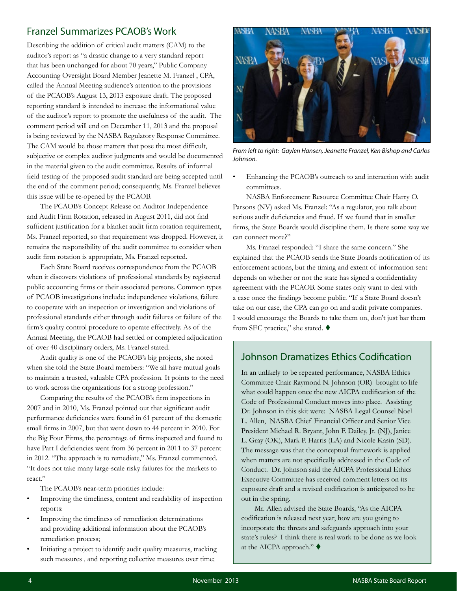#### <span id="page-3-0"></span>Franzel Summarizes PCAOB's Work

Describing the addition of critical audit matters (CAM) to the auditor's report as "a drastic change to a very standard report that has been unchanged for about 70 years," Public Company Accounting Oversight Board Member Jeanette M. Franzel , CPA, called the Annual Meeting audience's attention to the provisions of the PCAOB's August 13, 2013 exposure draft. The proposed reporting standard is intended to increase the informational value of the auditor's report to promote the usefulness of the audit. The comment period will end on December 11, 2013 and the proposal is being reviewed by the NASBA Regulatory Response Committee. The CAM would be those matters that pose the most difficult, subjective or complex auditor judgments and would be documented in the material given to the audit committee. Results of informal field testing of the proposed audit standard are being accepted until the end of the comment period; consequently, Ms. Franzel believes this issue will be re-opened by the PCAOB.

The PCAOB's Concept Release on Auditor Independence and Audit Firm Rotation, released in August 2011, did not find sufficient justification for a blanket audit firm rotation requirement, Ms. Franzel reported, so that requirement was dropped. However, it remains the responsibility of the audit committee to consider when audit firm rotation is appropriate, Ms. Franzel reported.

Each State Board receives correspondence from the PCAOB when it discovers violations of professional standards by registered public accounting firms or their associated persons. Common types of PCAOB investigations include: independence violations, failure to cooperate with an inspection or investigation and violations of professional standards either through audit failures or failure of the firm's quality control procedure to operate effectively. As of the Annual Meeting, the PCAOB had settled or completed adjudication of over 40 disciplinary orders, Ms. Franzel stated.

Audit quality is one of the PCAOB's big projects, she noted when she told the State Board members: "We all have mutual goals to maintain a trusted, valuable CPA profession. It points to the need to work across the organizations for a strong profession."

Comparing the results of the PCAOB's firm inspections in 2007 and in 2010, Ms. Franzel pointed out that significant audit performance deficiencies were found in 61 percent of the domestic small firms in 2007, but that went down to 44 percent in 2010. For the Big Four Firms, the percentage of firms inspected and found to have Part I deficiencies went from 36 percent in 2011 to 37 percent in 2012. "The approach is to remediate," Ms. Franzel commented. "It does not take many large-scale risky failures for the markets to react."

The PCAOB's near-term priorities include:

- Improving the timeliness, content and readability of inspection reports:
- Improving the timeliness of remediation determinations and providing additional information about the PCAOB's remediation process;
- Initiating a project to identify audit quality measures, tracking such measures , and reporting collective measures over time;



*From left to right: Gaylen Hansen, Jeanette Franzel, Ken Bishop and Carlos Johnson.* 

Enhancing the PCAOB's outreach to and interaction with audit committees.

NASBA Enforcement Resource Committee Chair Harry O. Parsons (NV) asked Ms. Franzel: "As a regulator, you talk about serious audit deficiencies and fraud. If we found that in smaller firms, the State Boards would discipline them. Is there some way we can connect more?"

Ms. Franzel responded: "I share the same concern." She explained that the PCAOB sends the State Boards notification of its enforcement actions, but the timing and extent of information sent depends on whether or not the state has signed a confidentiality agreement with the PCAOB. Some states only want to deal with a case once the findings become public. "If a State Board doesn't take on our case, the CPA can go on and audit private companies. I would encourage the Boards to take them on, don't just bar them from SEC practice," she stated.

#### Johnson Dramatizes Ethics Codification

In an unlikely to be repeated performance, NASBA Ethics Committee Chair Raymond N. Johnson (OR) brought to life what could happen once the new AICPA codification of the Code of Professional Conduct moves into place. Assisting Dr. Johnson in this skit were: NASBA Legal Counsel Noel L. Allen, NASBA Chief Financial Officer and Senior Vice President Michael R. Bryant, John F. Dailey, Jr. (NJ), Janice L. Gray (OK), Mark P. Harris (LA) and Nicole Kasin (SD). The message was that the conceptual framework is applied when matters are not specifically addressed in the Code of Conduct. Dr. Johnson said the AICPA Professional Ethics Executive Committee has received comment letters on its exposure draft and a revised codification is anticipated to be out in the spring.

Mr. Allen advised the State Boards, "As the AICPA codification is released next year, how are you going to incorporate the threats and safeguards approach into your state's rules? I think there is real work to be done as we look at the AICPA approach."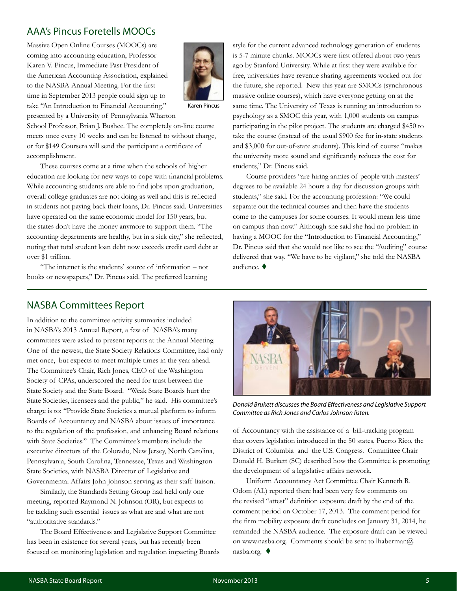#### <span id="page-4-0"></span>AAA's Pincus Foretells MOOCs

Massive Open Online Courses (MOOCs) are coming into accounting education, Professor Karen V. Pincus, Immediate Past President of the American Accounting Association, explained to the NASBA Annual Meeting. For the first time in September 2013 people could sign up to take "An Introduction to Financial Accounting," presented by a University of Pennsylvania Wharton



Karen Pincus

School Professor, Brian J. Bushee. The completely on-line course meets once every 10 weeks and can be listened to without charge, or for \$149 Coursera will send the participant a certificate of accomplishment.

These courses come at a time when the schools of higher education are looking for new ways to cope with financial problems. While accounting students are able to find jobs upon graduation, overall college graduates are not doing as well and this is reflected in students not paying back their loans, Dr. Pincus said. Universities have operated on the same economic model for 150 years, but the states don't have the money anymore to support them. "The accounting departments are healthy, but in a sick city," she reflected, noting that total student loan debt now exceeds credit card debt at over \$1 trillion.

"The internet is the students' source of information – not books or newspapers," Dr. Pincus said. The preferred learning

style for the current advanced technology generation of students is 5-7 minute chunks. MOOCs were first offered about two years ago by Stanford University. While at first they were available for free, universities have revenue sharing agreements worked out for the future, she reported. New this year are SMOCs (synchronous massive online courses), which have everyone getting on at the same time. The University of Texas is running an introduction to psychology as a SMOC this year, with 1,000 students on campus participating in the pilot project. The students are charged \$450 to take the course (instead of the usual \$900 fee for in-state students and \$3,000 for out-of-state students). This kind of course "makes the university more sound and significantly reduces the cost for students," Dr. Pincus said.

Course providers "are hiring armies of people with masters' degrees to be available 24 hours a day for discussion groups with students," she said. For the accounting profession: "We could separate out the technical courses and then have the students come to the campuses for some courses. It would mean less time on campus than now." Although she said she had no problem in having a MOOC for the "Introduction to Financial Accounting," Dr. Pincus said that she would not like to see the "Auditing" course delivered that way. "We have to be vigilant," she told the NASBA audience.  $\blacklozenge$ 

#### NASBA Committees Report

In addition to the committee activity summaries included in NASBA's 2013 Annual Report, a few of NASBA's many committees were asked to present reports at the Annual Meeting. One of the newest, the State Society Relations Committee, had only met once, but expects to meet multiple times in the year ahead. The Committee's Chair, Rich Jones, CEO of the Washington Society of CPAs, underscored the need for trust between the State Society and the State Board. "Weak State Boards hurt the State Societies, licensees and the public," he said. His committee's charge is to: "Provide State Societies a mutual platform to inform Boards of Accountancy and NASBA about issues of importance to the regulation of the profession, and enhancing Board relations with State Societies." The Committee's members include the executive directors of the Colorado, New Jersey, North Carolina, Pennsylvania, South Carolina, Tennessee, Texas and Washington State Societies, with NASBA Director of Legislative and Governmental Affairs John Johnson serving as their staff liaison.

Similarly, the Standards Setting Group had held only one meeting, reported Raymond N. Johnson (OR), but expects to be tackling such essential issues as what are and what are not "authoritative standards."

The Board Effectiveness and Legislative Support Committee has been in existence for several years, but has recently been focused on monitoring legislation and regulation impacting Boards



*Donald Brukett discusses the Board Effectiveness and Legislative Support Committee as Rich Jones and Carlos Johnson listen.*

of Accountancy with the assistance of a bill-tracking program that covers legislation introduced in the 50 states, Puerto Rico, the District of Columbia and the U.S. Congress. Committee Chair Donald H. Burkett (SC) described how the Committee is promoting the development of a legislative affairs network.

Uniform Accountancy Act Committee Chair Kenneth R. Odom (AL) reported there had been very few comments on the revised "attest" definition exposure draft by the end of the comment period on October 17, 2013. The comment period for the firm mobility exposure draft concludes on January 31, 2014, he reminded the NASBA audience. The exposure draft can be viewed on www.nasba.org. Comments should be sent to lhaberman@ nasba.org.  $\blacklozenge$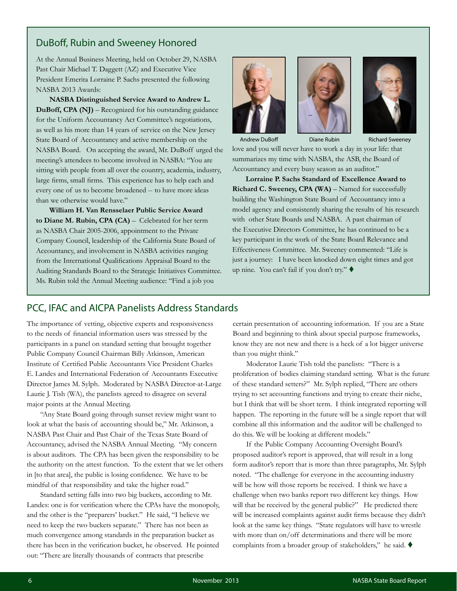#### <span id="page-5-0"></span>DuBoff, Rubin and Sweeney Honored

At the Annual Business Meeting, held on October 29, NASBA Past Chair Michael T. Daggett (AZ) and Executive Vice President Emerita Lorraine P. Sachs presented the following NASBA 2013 Awards:

**NASBA Distinguished Service Award to Andrew L. DuBoff, CPA (NJ)** – Recognized for his outstanding guidance for the Uniform Accountancy Act Committee's negotiations, as well as his more than 14 years of service on the New Jersey State Board of Accountancy and active membership on the NASBA Board. On accepting the award, Mr. DuBoff urged the meeting's attendees to become involved in NASBA: "You are sitting with people from all over the country, academia, industry, large firms, small firms. This experience has to help each and every one of us to become broadened -- to have more ideas than we otherwise would have."

**William H. Van Rensselaer Public Service Award to Diane M. Rubin, CPA (CA)** – Celebrated for her term as NASBA Chair 2005-2006, appointment to the Private Company Council, leadership of the California State Board of Accountancy, and involvement in NASBA activities ranging from the International Qualifications Appraisal Board to the Auditing Standards Board to the Strategic Initiatives Committee. Ms. Rubin told the Annual Meeting audience: "Find a job you







Andrew DuBoff **Diane Rubin Richard Sweeney** 

love and you will never have to work a day in your life: that summarizes my time with NASBA, the ASB, the Board of Accountancy and every busy season as an auditor."

**Lorraine P. Sachs Standard of Excellence Award to Richard C. Sweeney, CPA (WA)** – Named for successfully building the Washington State Board of Accountancy into a model agency and consistently sharing the results of his research with other State Boards and NASBA. A past chairman of the Executive Directors Committee, he has continued to be a key participant in the work of the State Board Relevance and Effectiveness Committee. Mr. Sweeney commented: "Life is just a journey: I have been knocked down eight times and got up nine. You can't fail if you don't try." ♦

#### PCC, IFAC and AICPA Panelists Address Standards

The importance of vetting, objective experts and responsiveness to the needs of financial information users was stressed by the participants in a panel on standard setting that brought together Public Company Council Chairman Billy Atkinson, American Institute of Certified Public Accountants Vice President Charles E. Landes and International Federation of Accountants Executive Director James M. Sylph. Moderated by NASBA Director-at-Large Laurie J. Tish (WA), the panelists agreed to disagree on several major points at the Annual Meeting.

"Any State Board going through sunset review might want to look at what the basis of accounting should be," Mr. Atkinson, a NASBA Past Chair and Past Chair of the Texas State Board of Accountancy, advised the NASBA Annual Meeting. "My concern is about auditors. The CPA has been given the responsibility to be the authority on the attest function. To the extent that we let others in [to that area], the public is losing confidence. We have to be mindful of that responsibility and take the higher road."

Standard setting falls into two big buckets, according to Mr. Landes: one is for verification where the CPAs have the monopoly, and the other is the "preparers' bucket." He said, "I believe we need to keep the two buckets separate." There has not been as much convergence among standards in the preparation bucket as there has been in the verification bucket, he observed. He pointed out: "There are literally thousands of contracts that prescribe

certain presentation of accounting information. If you are a State Board and beginning to think about special purpose frameworks, know they are not new and there is a heck of a lot bigger universe than you might think."

Moderator Laurie Tish told the panelists: "There is a proliferation of bodies claiming standard setting. What is the future of these standard setters?" Mr. Sylph replied, "There are others trying to set accounting functions and trying to create their niche, but I think that will be short term. I think integrated reporting will happen. The reporting in the future will be a single report that will combine all this information and the auditor will be challenged to do this. We will be looking at different models."

If the Public Company Accounting Oversight Board's proposed auditor's report is approved, that will result in a long form auditor's report that is more than three paragraphs, Mr. Sylph noted. "The challenge for everyone in the accounting industry will be how will those reports be received. I think we have a challenge when two banks report two different key things. How will that be received by the general public?" He predicted there will be increased complaints against audit firms because they didn't look at the same key things. "State regulators will have to wrestle with more than on/off determinations and there will be more complaints from a broader group of stakeholders," he said.  $\blacklozenge$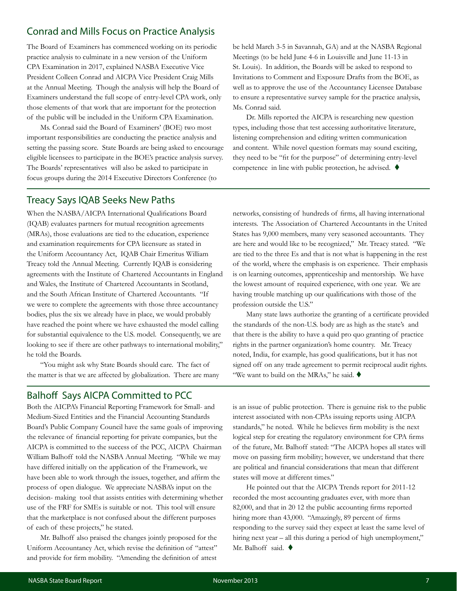#### <span id="page-6-0"></span>Conrad and Mills Focus on Practice Analysis

The Board of Examiners has commenced working on its periodic practice analysis to culminate in a new version of the Uniform CPA Examination in 2017, explained NASBA Executive Vice President Colleen Conrad and AICPA Vice President Craig Mills at the Annual Meeting. Though the analysis will help the Board of Examiners understand the full scope of entry-level CPA work, only those elements of that work that are important for the protection of the public will be included in the Uniform CPA Examination.

Ms. Conrad said the Board of Examiners' (BOE) two most important responsibilities are conducting the practice analysis and setting the passing score. State Boards are being asked to encourage eligible licensees to participate in the BOE's practice analysis survey. The Boards' representatives will also be asked to participate in focus groups during the 2014 Executive Directors Conference (to

be held March 3-5 in Savannah, GA) and at the NASBA Regional Meetings (to be held June 4-6 in Louisville and June 11-13 in St. Louis). In addition, the Boards will be asked to respond to Invitations to Comment and Exposure Drafts from the BOE, as well as to approve the use of the Accountancy Licensee Database to ensure a representative survey sample for the practice analysis, Ms. Conrad said.

Dr. Mills reported the AICPA is researching new question types, including those that test accessing authoritative literature, listening comprehension and editing written communication and content. While novel question formats may sound exciting, they need to be "fit for the purpose" of determining entry-level competence in line with public protection, he advised.  $\blacklozenge$ 

#### Treacy Says IQAB Seeks New Paths

When the NASBA/AICPA International Qualifications Board (IQAB) evaluates partners for mutual recognition agreements (MRAs), those evaluations are tied to the education, experience and examination requirements for CPA licensure as stated in the Uniform Accountancy Act, IQAB Chair Emeritus William Treacy told the Annual Meeting. Currently IQAB is considering agreements with the Institute of Chartered Accountants in England and Wales, the Institute of Chartered Accountants in Scotland, and the South African Institute of Chartered Accountants. "If we were to complete the agreements with those three accountancy bodies, plus the six we already have in place, we would probably have reached the point where we have exhausted the model calling for substantial equivalence to the U.S. model. Consequently, we are looking to see if there are other pathways to international mobility," he told the Boards.

"You might ask why State Boards should care. The fact of the matter is that we are affected by globalization. There are many

#### Balhoff Says AICPA Committed to PCC

Both the AICPA's Financial Reporting Framework for Small- and Medium-Sized Entities and the Financial Accounting Standards Board's Public Company Council have the same goals of improving the relevance of financial reporting for private companies, but the AICPA is committed to the success of the PCC, AICPA Chairman William Balhoff told the NASBA Annual Meeting. "While we may have differed initially on the application of the Framework, we have been able to work through the issues, together, and affirm the process of open dialogue. We appreciate NASBA's input on the decision- making tool that assists entities with determining whether use of the FRF for SMEs is suitable or not. This tool will ensure that the marketplace is not confused about the different purposes of each of these projects," he stated.

Mr. Balhoff also praised the changes jointly proposed for the Uniform Accountancy Act, which revise the definition of "attest" and provide for firm mobility. "Amending the definition of attest networks, consisting of hundreds of firms, all having international interests. The Association of Chartered Accountants in the United States has 9,000 members, many very seasoned accountants. They are here and would like to be recognized," Mr. Treacy stated. "We are tied to the three Es and that is not what is happening in the rest of the world, where the emphasis is on experience. Their emphasis is on learning outcomes, apprenticeship and mentorship. We have the lowest amount of required experience, with one year. We are having trouble matching up our qualifications with those of the profession outside the U.S."

Many state laws authorize the granting of a certificate provided the standards of the non-U.S. body are as high as the state's and that there is the ability to have a quid pro quo granting of practice rights in the partner organization's home country. Mr. Treacy noted, India, for example, has good qualifications, but it has not signed off on any trade agreement to permit reciprocal audit rights. "We want to build on the MRAs," he said.  $\blacklozenge$ 

is an issue of public protection. There is genuine risk to the public interest associated with non-CPAs issuing reports using AICPA standards," he noted. While he believes firm mobility is the next logical step for creating the regulatory environment for CPA firms of the future, Mr. Balhoff stated: "The AICPA hopes all states will move on passing firm mobility; however, we understand that there are political and financial considerations that mean that different states will move at different times."

He pointed out that the AICPA Trends report for 2011-12 recorded the most accounting graduates ever, with more than 82,000, and that in 20 12 the public accounting firms reported hiring more than 43,000. "Amazingly, 89 percent of firms responding to the survey said they expect at least the same level of hiring next year – all this during a period of high unemployment," Mr. Balhoff said.  $\blacklozenge$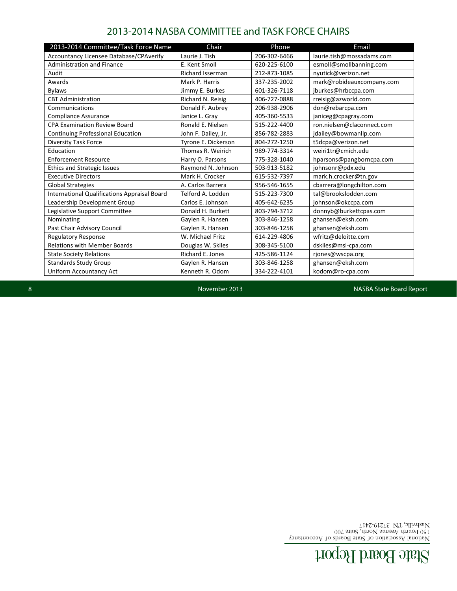### State Board Report

National Association of State Boards of Accountancy 150 Fourth Avenue North, Suite 700

Nashville, TN 37219-2417

8 November 2013 NASBA State Board Report

<span id="page-7-0"></span>

| 2013-2014 Committee/Task Force Name                 | Chair                   | Phone        | Email                      |
|-----------------------------------------------------|-------------------------|--------------|----------------------------|
| <b>Accountancy Licensee Database/CPAverify</b>      | Laurie J. Tish          | 206-302-6466 | laurie.tish@mossadams.com  |
| <b>Administration and Finance</b>                   | E. Kent Smoll           | 620-225-6100 | esmoll@smollbanning.com    |
| Audit                                               | <b>Richard Isserman</b> | 212-873-1085 | nyutick@verizon.net        |
| Awards                                              | Mark P. Harris          | 337-235-2002 | mark@robideauxcompany.com  |
| <b>Bylaws</b>                                       | Jimmy E. Burkes         | 601-326-7118 | jburkes@hrbccpa.com        |
| <b>CBT Administration</b>                           | Richard N. Reisig       | 406-727-0888 | rreisig@azworld.com        |
| Communications                                      | Donald F. Aubrey        | 206-938-2906 | don@rebarcpa.com           |
| <b>Compliance Assurance</b>                         | Janice L. Gray          | 405-360-5533 | janiceg@cpagray.com        |
| <b>CPA Examination Review Board</b>                 | Ronald E. Nielsen       | 515-222-4400 | ron.nielsen@claconnect.com |
| Continuing Professional Education                   | John F. Dailey, Jr.     | 856-782-2883 | jdailey@bowmanllp.com      |
| Diversity Task Force                                | Tyrone E. Dickerson     | 804-272-1250 | t5dcpa@verizon.net         |
| Education                                           | Thomas R. Weirich       | 989-774-3314 | weiri1tr@cmich.edu         |
| <b>Enforcement Resource</b>                         | Harry O. Parsons        | 775-328-1040 | hparsons@pangborncpa.com   |
| <b>Ethics and Strategic Issues</b>                  | Raymond N. Johnson      | 503-913-5182 | johnsonr@pdx.edu           |
| <b>Executive Directors</b>                          | Mark H. Crocker         | 615-532-7397 | mark.h.crocker@tn.gov      |
| <b>Global Strategies</b>                            | A. Carlos Barrera       | 956-546-1655 | cbarrera@longchilton.com   |
| <b>International Qualifications Appraisal Board</b> | Telford A. Lodden       | 515-223-7300 | tal@brookslodden.com       |
| Leadership Development Group                        | Carlos E. Johnson       | 405-642-6235 | johnson@okccpa.com         |
| Legislative Support Committee                       | Donald H. Burkett       | 803-794-3712 | donnyb@burkettcpas.com     |
| Nominating                                          | Gaylen R. Hansen        | 303-846-1258 | ghansen@eksh.com           |
| Past Chair Advisory Council                         | Gaylen R. Hansen        | 303-846-1258 | ghansen@eksh.com           |
| <b>Regulatory Response</b>                          | W. Michael Fritz        | 614-229-4806 | wfritz@deloitte.com        |
| <b>Relations with Member Boards</b>                 | Douglas W. Skiles       | 308-345-5100 | dskiles@msl-cpa.com        |
| <b>State Society Relations</b>                      | Richard E. Jones        | 425-586-1124 | rjones@wscpa.org           |
| <b>Standards Study Group</b>                        | Gaylen R. Hansen        | 303-846-1258 | ghansen@eksh.com           |
| Uniform Accountancy Act                             | Kenneth R. Odom         | 334-222-4101 | kodom@ro-cpa.com           |